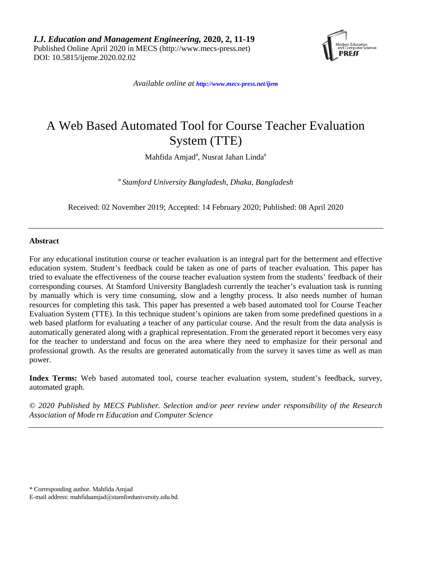*I.J. Education and Management Engineering,* **2020, 2, 11-19** Published Online April 2020 in MECS (http://www.mecs-press.net) DOI: 10.5815/ijeme.2020.02.02



*Available online at <http://www.mecs-press.net/ijem>*

# A Web Based Automated Tool for Course Teacher Evaluation System (TTE)

Mahfida Amjad<sup>a</sup>, Nusrat Jahan Linda<sup>a</sup>

*a Stamford University Bangladesh, Dhaka, Bangladesh*

Received: 02 November 2019; Accepted: 14 February 2020; Published: 08 April 2020

# **Abstract**

For any educational institution course or teacher evaluation is an integral part for the betterment and effective education system. Student's feedback could be taken as one of parts of teacher evaluation. This paper has tried to evaluate the effectiveness of the course teacher evaluation system from the students' feedback of their corresponding courses. At Stamford University Bangladesh currently the teacher's evaluation task is running by manually which is very time consuming, slow and a lengthy process. It also needs number of human resources for completing this task. This paper has presented a web based automated tool for Course Teacher Evaluation System (TTE). In this technique student's opinions are taken from some predefined questions in a web based platform for evaluating a teacher of any particular course. And the result from the data analysis is automatically generated along with a graphical representation. From the generated report it becomes very easy for the teacher to understand and focus on the area where they need to emphasize for their personal and professional growth. As the results are generated automatically from the survey it saves time as well as man power.

**Index Terms:** Web based automated tool, course teacher evaluation system, student's feedback, survey, automated graph.

*© 2020 Published by MECS Publisher. Selection and/or peer review under responsibility of the Research Association of Mode rn Education and Computer Science*

\* Corresponding author. Mahfida Amjad E-mail address: mahfidaamjad@stamforduniversity.edu.bd.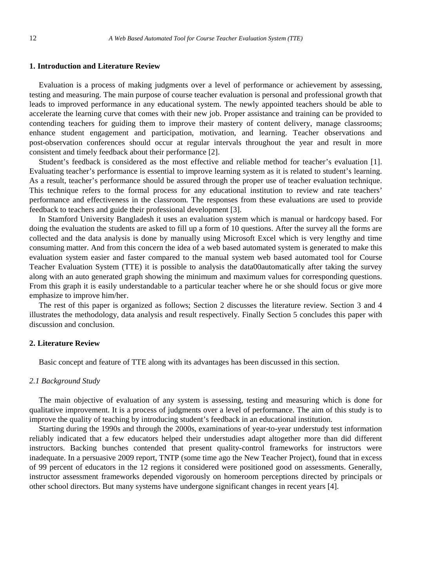# **1. Introduction and Literature Review**

Evaluation is a process of making judgments over a level of performance or achievement by assessing, testing and measuring. The main purpose of course teacher evaluation is personal and professional growth that leads to improved performance in any educational system. The newly appointed teachers should be able to accelerate the learning curve that comes with their new job. Proper assistance and training can be provided to contending teachers for guiding them to improve their mastery of content delivery, manage classrooms; enhance student engagement and participation, motivation, and learning. Teacher observations and post-observation conferences should occur at regular intervals throughout the year and result in more consistent and timely feedback about their performance [2].

Student's feedback is considered as the most effective and reliable method for teacher's evaluation [1]. Evaluating teacher's performance is essential to improve learning system as it is related to student's learning. As a result, teacher's performance should be assured through the proper use of teacher evaluation technique. This technique refers to the formal process for any educational institution to review and rate teachers' performance and effectiveness in the classroom. The responses from these evaluations are used to provide feedback to teachers and guide their professional development [3].

In Stamford University Bangladesh it uses an evaluation system which is manual or hardcopy based. For doing the evaluation the students are asked to fill up a form of 10 questions. After the survey all the forms are collected and the data analysis is done by manually using Microsoft Excel which is very lengthy and time consuming matter. And from this concern the idea of a web based automated system is generated to make this evaluation system easier and faster compared to the manual system web based automated tool for Course Teacher Evaluation System (TTE) it is possible to analysis the data00automatically after taking the survey along with an auto generated graph showing the minimum and maximum values for corresponding questions. From this graph it is easily understandable to a particular teacher where he or she should focus or give more emphasize to improve him/her.

The rest of this paper is organized as follows; Section 2 discusses the literature review. Section 3 and 4 illustrates the methodology, data analysis and result respectively. Finally Section 5 concludes this paper with discussion and conclusion.

# **2. Literature Review**

Basic concept and feature of TTE along with its advantages has been discussed in this section.

# *2.1 Background Study*

The main objective of evaluation of any system is assessing, testing and measuring which is done for qualitative improvement. It is a process of judgments over a level of performance. The aim of this study is to improve the quality of teaching by introducing student's feedback in an educational institution.

Starting during the 1990s and through the 2000s, examinations of year-to-year understudy test information reliably indicated that a few educators helped their understudies adapt altogether more than did different instructors. Backing bunches contended that present quality-control frameworks for instructors were inadequate. In a persuasive 2009 report, TNTP (some time ago the New Teacher Project), found that in excess of 99 percent of educators in the 12 regions it considered were positioned good on assessments. Generally, instructor assessment frameworks depended vigorously on homeroom perceptions directed by principals or other school directors. But many systems have undergone significant changes in recent years [4].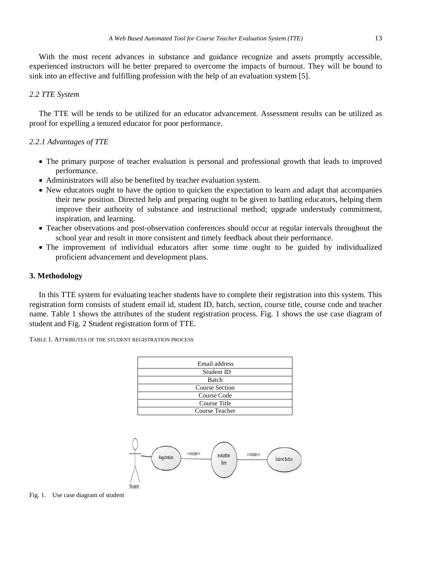With the most recent advances in substance and guidance recognize and assets promptly accessible, experienced instructors will be better prepared to overcome the impacts of burnout. They will be bound to sink into an effective and fulfilling profession with the help of an evaluation system [5].

# *2.2 TTE System*

The TTE will be tends to be utilized for an educator advancement. Assessment results can be utilized as proof for expelling a tenured educator for poor performance.

# *2.2.1 Advantages of TTE*

- The primary purpose of teacher evaluation is personal and professional growth that leads to improved performance.
- Administrators will also be benefited by teacher evaluation system.
- New educators ought to have the option to quicken the expectation to learn and adapt that accompanies their new position. Directed help and preparing ought to be given to battling educators, helping them improve their authority of substance and instructional method; upgrade understudy commitment, inspiration, and learning.
- Teacher observations and post-observation conferences should occur at regular intervals throughout the school year and result in more consistent and timely feedback about their performance.
- The improvement of individual educators after some time ought to be guided by individualized proficient advancement and development plans.

#### **3. Methodology**

In this TTE system for evaluating teacher students have to complete their registration into this system. This registration form consists of student email id, student ID, batch, section, course title, course code and teacher name. Table 1 shows the attributes of the student registration process. Fig. 1 shows the use case diagram of student and Fig. 2 Student registration form of TTE.

TABLE 1. ATTRIBUTES OF THE STUDENT REGISTRATION PROCESS

| Email address         |
|-----------------------|
| Student ID            |
| <b>Batch</b>          |
| <b>Course Section</b> |
| Course Code           |
| Course Title          |
| Course Teacher        |



Fig. 1. Use case diagram of student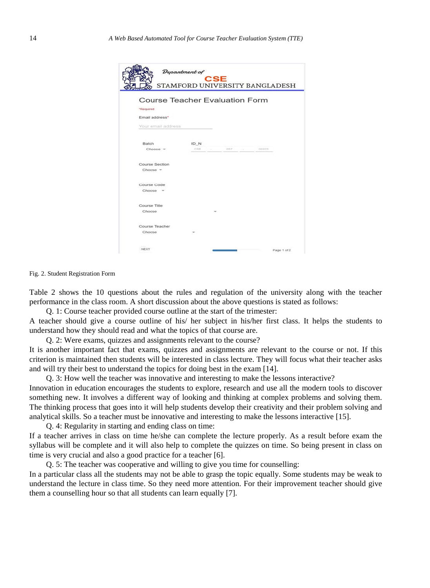|                                       |             | <b>CSE</b>      | STAMFORD UNIVERSITY BANGLADESH |  |
|---------------------------------------|-------------|-----------------|--------------------------------|--|
| <b>Course Teacher Evaluation Form</b> |             |                 |                                |  |
| *Required                             |             |                 |                                |  |
| Email address*                        |             |                 |                                |  |
| Your email address                    |             |                 |                                |  |
|                                       |             |                 |                                |  |
|                                       |             |                 |                                |  |
| <b>Batch</b><br>$Choose =$            | ID N<br>CSE | Car Corporation | 06925                          |  |
|                                       |             |                 |                                |  |
| Course Section                        |             |                 |                                |  |
| $Choose ~*$                           |             |                 |                                |  |
|                                       |             |                 |                                |  |
| Course Code                           |             |                 |                                |  |
| Choose                                |             |                 |                                |  |
| Course Title                          |             |                 |                                |  |
| Choose                                |             |                 |                                |  |
|                                       |             |                 |                                |  |
| Course Teacher                        |             |                 |                                |  |
| Choose                                |             |                 |                                |  |

Fig. 2. Student Registration Form

Table 2 shows the 10 questions about the rules and regulation of the university along with the teacher performance in the class room. A short discussion about the above questions is stated as follows:

Q. 1: Course teacher provided course outline at the start of the trimester:

A teacher should give a course outline of his/ her subject in his/her first class. It helps the students to understand how they should read and what the topics of that course are.

Q. 2: Were exams, quizzes and assignments relevant to the course?

It is another important fact that exams, quizzes and assignments are relevant to the course or not. If this criterion is maintained then students will be interested in class lecture. They will focus what their teacher asks and will try their best to understand the topics for doing best in the exam [14].

Q. 3: How well the teacher was innovative and interesting to make the lessons interactive?

Innovation in education encourages the students to explore, research and use all the modern tools to discover something new. It involves a different way of looking and thinking at complex problems and solving them. The thinking process that goes into it will help students develop their creativity and their problem solving and analytical skills. So a teacher must be innovative and interesting to make the lessons interactive [15].

Q. 4: Regularity in starting and ending class on time: If a teacher arrives in class on time he/she can complete the lecture properly. As a result before exam the syllabus will be complete and it will also help to complete the quizzes on time. So being present in class on time is very crucial and also a good practice for a teacher [6].

Q. 5: The teacher was cooperative and willing to give you time for counselling: In a particular class all the students may not be able to grasp the topic equally. Some students may be weak to understand the lecture in class time. So they need more attention. For their improvement teacher should give them a counselling hour so that all students can learn equally [7].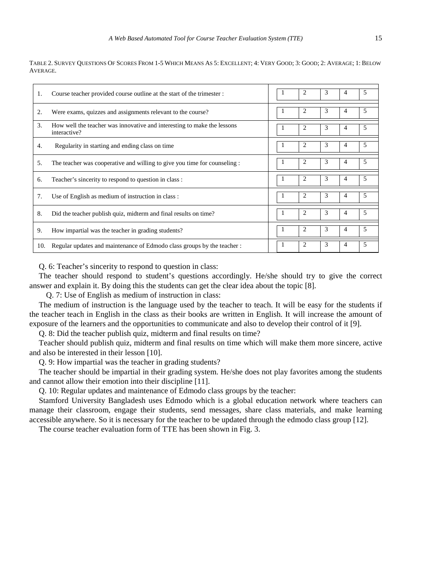| 1.  | Course teacher provided course outline at the start of the trimester :                  |  |                | 3             | 4 | 5. |
|-----|-----------------------------------------------------------------------------------------|--|----------------|---------------|---|----|
| 2.  | Were exams, quizzes and assignments relevant to the course?                             |  | $\overline{c}$ | 3             | 4 | 5  |
| 3.  | How well the teacher was innovative and interesting to make the lessons<br>interactive? |  |                | 3             | 4 | 5  |
| 4.  | Regularity in starting and ending class on time.                                        |  |                | 3             | 4 | 5  |
| 5.  | The teacher was cooperative and willing to give you time for counseling :               |  | 2              | 3             | 4 | 5. |
| 6.  | Teacher's sincerity to respond to question in class :                                   |  |                | 3             | 4 | 5. |
| 7.  | Use of English as medium of instruction in class :                                      |  | 2              | 3             | 4 | 5  |
| 8.  | Did the teacher publish quiz, midterm and final results on time?                        |  |                | 3             | 4 | 5  |
| 9.  | How impartial was the teacher in grading students?                                      |  |                | $\mathcal{R}$ | 4 | 5  |
| 10. | Regular updates and maintenance of Edmodo class groups by the teacher:                  |  |                | 3             | 4 | 5  |

TABLE 2. SURVEY QUESTIONS OF SCORES FROM 1-5 WHICH MEANS AS 5: EXCELLENT; 4: VERY GOOD; 3: GOOD; 2: AVERAGE; 1: BELOW AVERAGE.

Q. 6: Teacher's sincerity to respond to question in class:

The teacher should respond to student's questions accordingly. He/she should try to give the correct answer and explain it. By doing this the students can get the clear idea about the topic [8].

Q. 7: Use of English as medium of instruction in class:

The medium of instruction is the language used by the teacher to teach. It will be easy for the students if the teacher teach in English in the class as their books are written in English. It will increase the amount of exposure of the learners and the opportunities to communicate and also to develop their control of it [9].

Q. 8: Did the teacher publish quiz, midterm and final results on time?

Teacher should publish quiz, midterm and final results on time which will make them more sincere, active and also be interested in their lesson [10].

Q. 9: How impartial was the teacher in grading students?

The teacher should be impartial in their grading system. He/she does not play favorites among the students and cannot allow their emotion into their discipline [11].

Q. 10: Regular updates and maintenance of Edmodo class groups by the teacher:

Stamford University Bangladesh uses Edmodo which is a global education network where teachers can manage their classroom, engage their students, send messages, share class materials, and make learning accessible anywhere. So it is necessary for the teacher to be updated through the edmodo class group [12].

The course teacher evaluation form of TTE has been shown in Fig. 3.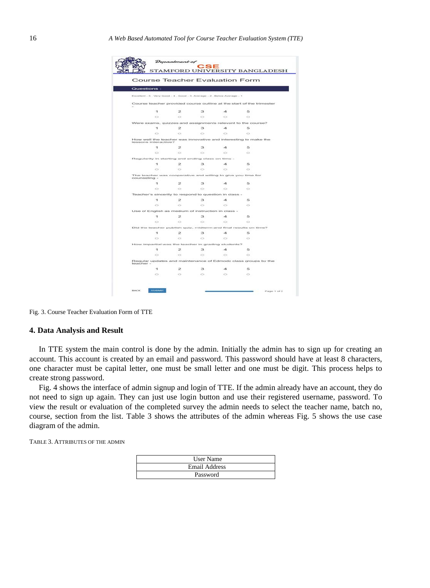

Fig. 3. Course Teacher Evaluation Form of TTE

### **4. Data Analysis and Result**

In TTE system the main control is done by the admin. Initially the admin has to sign up for creating an account. This account is created by an email and password. This password should have at least 8 characters, one character must be capital letter, one must be small letter and one must be digit. This process helps to create strong password.

Fig. 4 shows the interface of admin signup and login of TTE. If the admin already have an account, they do not need to sign up again. They can just use login button and use their registered username, password. To view the result or evaluation of the completed survey the admin needs to select the teacher name, batch no, course, section from the list. Table 3 shows the attributes of the admin whereas Fig. 5 shows the use case diagram of the admin.

TABLE 3. ATTRIBUTES OF THE ADMIN

| User Name            |  |
|----------------------|--|
| <b>Email Address</b> |  |
| Password             |  |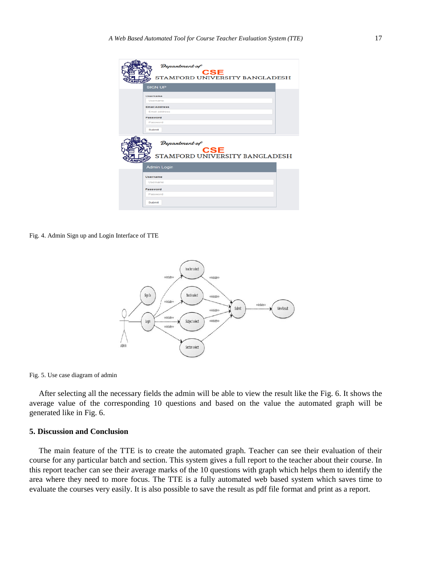| Depantment of<br><b>CSE</b><br>STAMFORD UNIVERSITY BANGLADESH<br><b>SIGN UP</b>                       |
|-------------------------------------------------------------------------------------------------------|
| Username                                                                                              |
| Username                                                                                              |
| <b>Email Address</b><br>Email address                                                                 |
| Password                                                                                              |
| Password                                                                                              |
| Submit                                                                                                |
|                                                                                                       |
| Depantment of<br><mark>.</mark><br><b>CSE</b><br>STAMFORD UNIVERSITY BANGLADESH<br><b>Admin Login</b> |
|                                                                                                       |
| Username                                                                                              |
| Username                                                                                              |
| Password                                                                                              |
| Password                                                                                              |
| Submit                                                                                                |

Fig. 4. Admin Sign up and Login Interface of TTE



Fig. 5. Use case diagram of admin

After selecting all the necessary fields the admin will be able to view the result like the Fig. 6. It shows the average value of the corresponding 10 questions and based on the value the automated graph will be generated like in Fig. 6.

# **5. Discussion and Conclusion**

The main feature of the TTE is to create the automated graph. Teacher can see their evaluation of their course for any particular batch and section. This system gives a full report to the teacher about their course. In this report teacher can see their average marks of the 10 questions with graph which helps them to identify the area where they need to more focus. The TTE is a fully automated web based system which saves time to evaluate the courses very easily. It is also possible to save the result as pdf file format and print as a report.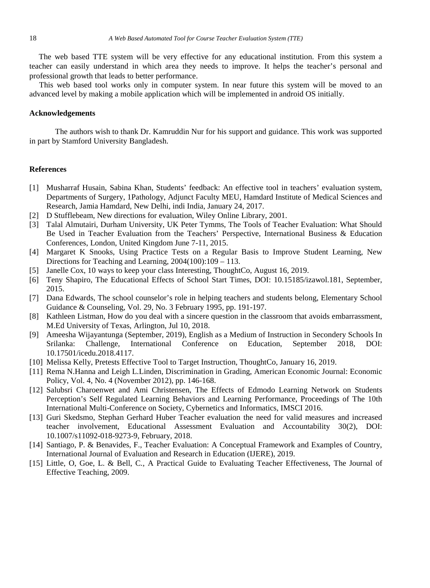The web based TTE system will be very effective for any educational institution. From this system a teacher can easily understand in which area they needs to improve. It helps the teacher's personal and professional growth that leads to better performance.

This web based tool works only in computer system. In near future this system will be moved to an advanced level by making a mobile application which will be implemented in android OS initially.

# **Acknowledgements**

 The authors wish to thank Dr. Kamruddin Nur for his support and guidance. This work was supported in part by Stamford University Bangladesh.

# **References**

- [1] Musharraf Husain, Sabina Khan, Students' feedback: An effective tool in teachers' evaluation system, Departments of Surgery, 1Pathology, Adjunct Faculty MEU, Hamdard Institute of Medical Sciences and Research, Jamia Hamdard, New Delhi, indi India, January 24, 2017.
- [2] D Stufflebeam, New directions for evaluation, Wiley Online Library, 2001.
- [3] Talal Almutairi, Durham University, UK Peter Tymms, The Tools of Teacher Evaluation: What Should Be Used in Teacher Evaluation from the Teachers' Perspective, International Business & Education Conferences, London, United Kingdom June 7-11, 2015.
- [4] Margaret K Snooks, Using Practice Tests on a Regular Basis to Improve Student Learning, New Directions for Teaching and Learning, 2004(100):109 – 113.
- [5] Janelle Cox, 10 ways to keep your class Interesting, ThoughtCo, August 16, 2019.
- [6] Teny Shapiro, The Educational Effects of School Start Times, DOI: 10.15185/izawol.181, September, 2015.
- [7] Dana Edwards, The school counselor's role in helping teachers and students belong, Elementary School Guidance & Counseling, Vol. 29, No. 3 February 1995, pp. 191-197.
- [8] Kathleen Listman, How do you deal with a sincere question in the classroom that avoids embarrassment, M.Ed University of Texas, Arlington, Jul 10, 2018.
- [9] Ameesha Wijayantunga (September, 2019), English as a Medium of Instruction in Secondery Schools In Srilanka: Challenge, International Conference on Education, September 2018, DOI: 10.17501/icedu.2018.4117.
- [10] Melissa Kelly, Pretests Effective Tool to Target Instruction, ThoughtCo, January 16, 2019.
- [11] Rema N.Hanna and Leigh L.Linden, Discrimination in Grading, American Economic Journal: Economic Policy, Vol. 4, No. 4 (November 2012), pp. 146-168.
- [12] Salubsri Charoenwet and Ami Christensen, The Effects of Edmodo Learning Network on Students Perception's Self Regulated Learning Behaviors and Learning Performance, Proceedings of The 10th International Multi-Conference on Society, Cybernetics and Informatics, IMSCI 2016.
- [13] Guri Skedsmo, Stephan Gerhard Huber Teacher evaluation the need for valid measures and increased teacher involvement, Educational Assessment Evaluation and Accountability 30(2), DOI: 10.1007/s11092-018-9273-9, February, 2018.
- [14] Santiago, P. & Benavides, F., Teacher Evaluation: A Conceptual Framework and Examples of Country, International Journal of Evaluation and Research in Education (IJERE), 2019.
- [15] Little, O, Goe, L. & Bell, C., A Practical Guide to Evaluating Teacher Effectiveness, The Journal of Effective Teaching, 2009.